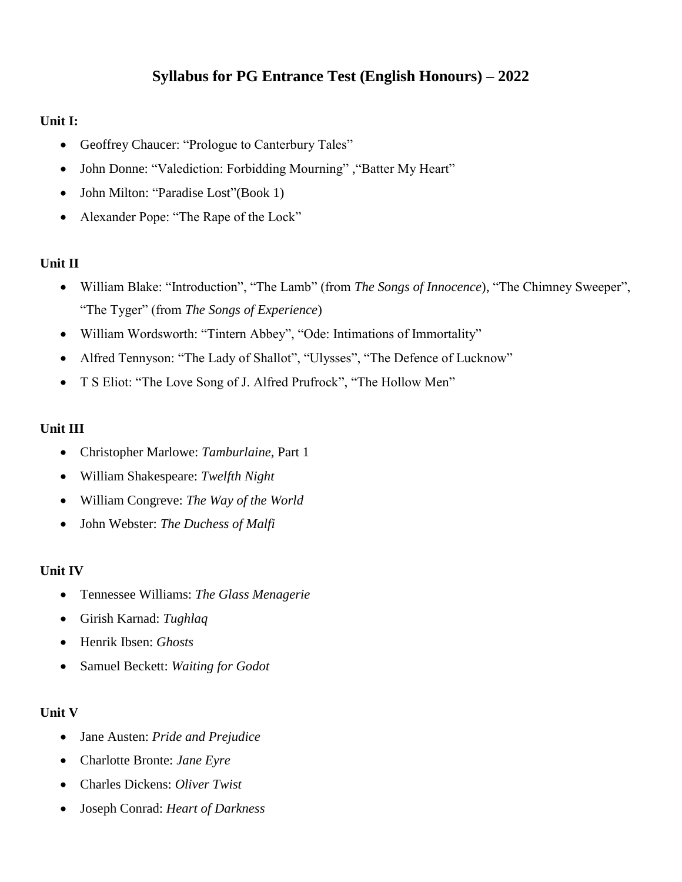# **Syllabus for PG Entrance Test (English Honours) – 2022**

### **Unit I:**

- Geoffrey Chaucer: "Prologue to Canterbury Tales"
- John Donne: "Valediction: Forbidding Mourning", "Batter My Heart"
- John Milton: "Paradise Lost" (Book 1)
- Alexander Pope: "The Rape of the Lock"

# **Unit II**

- William Blake: "Introduction", "The Lamb" (from *The Songs of Innocence*), "The Chimney Sweeper", "The Tyger" (from *The Songs of Experience*)
- William Wordsworth: "Tintern Abbey", "Ode: Intimations of Immortality"
- Alfred Tennyson: "The Lady of Shallot", "Ulysses", "The Defence of Lucknow"
- T S Eliot: "The Love Song of J. Alfred Prufrock", "The Hollow Men"

# **Unit III**

- Christopher Marlowe: *Tamburlaine,* Part 1
- William Shakespeare: *Twelfth Night*
- William Congreve: *The Way of the World*
- John Webster: *The Duchess of Malfi*

#### **Unit IV**

- Tennessee Williams: *The Glass Menagerie*
- Girish Karnad: *Tughlaq*
- Henrik Ibsen: *Ghosts*
- Samuel Beckett: *Waiting for Godot*

# **Unit V**

- Jane Austen: *Pride and Prejudice*
- Charlotte Bronte: *Jane Eyre*
- Charles Dickens: *Oliver Twist*
- Joseph Conrad: *Heart of Darkness*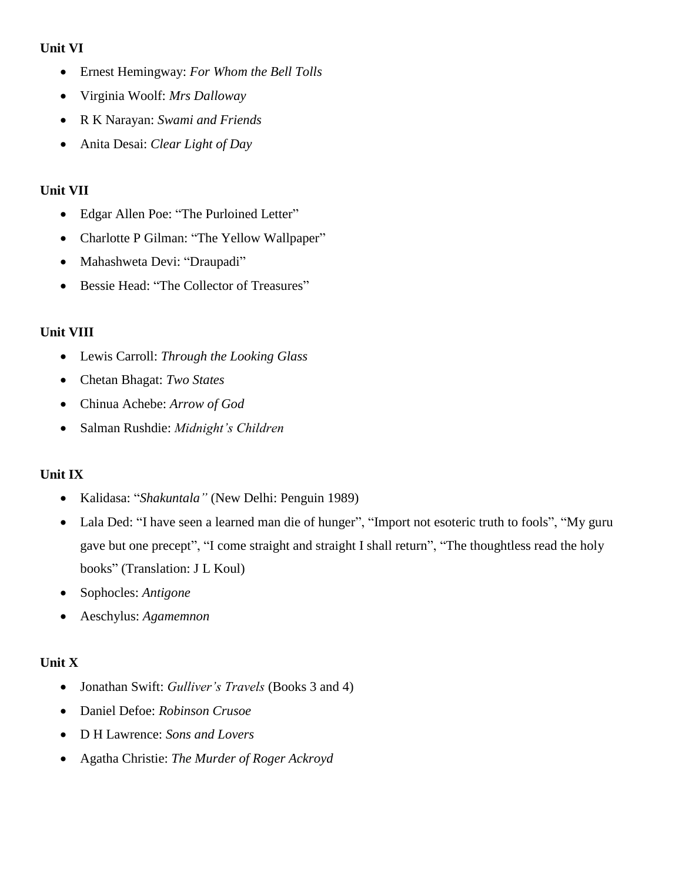### **Unit VI**

- Ernest Hemingway: *For Whom the Bell Tolls*
- Virginia Woolf: *Mrs Dalloway*
- R K Narayan: *Swami and Friends*
- Anita Desai: *Clear Light of Day*

### **Unit VII**

- Edgar Allen Poe: "The Purloined Letter"
- Charlotte P Gilman: "The Yellow Wallpaper"
- Mahashweta Devi: "Draupadi"
- Bessie Head: "The Collector of Treasures"

# **Unit VIII**

- Lewis Carroll: *Through the Looking Glass*
- Chetan Bhagat: *Two States*
- Chinua Achebe: *Arrow of God*
- Salman Rushdie: *Midnight's Children*

# **Unit IX**

- Kalidasa: "*Shakuntala"* (New Delhi: Penguin 1989)
- Lala Ded: "I have seen a learned man die of hunger", "Import not esoteric truth to fools", "My guru gave but one precept", "I come straight and straight I shall return", "The thoughtless read the holy books" (Translation: J L Koul)
- Sophocles: *Antigone*
- Aeschylus: *Agamemnon*

# **Unit X**

- Jonathan Swift: *Gulliver's Travels* (Books 3 and 4)
- Daniel Defoe: *Robinson Crusoe*
- D H Lawrence: *Sons and Lovers*
- Agatha Christie: *The Murder of Roger Ackroyd*